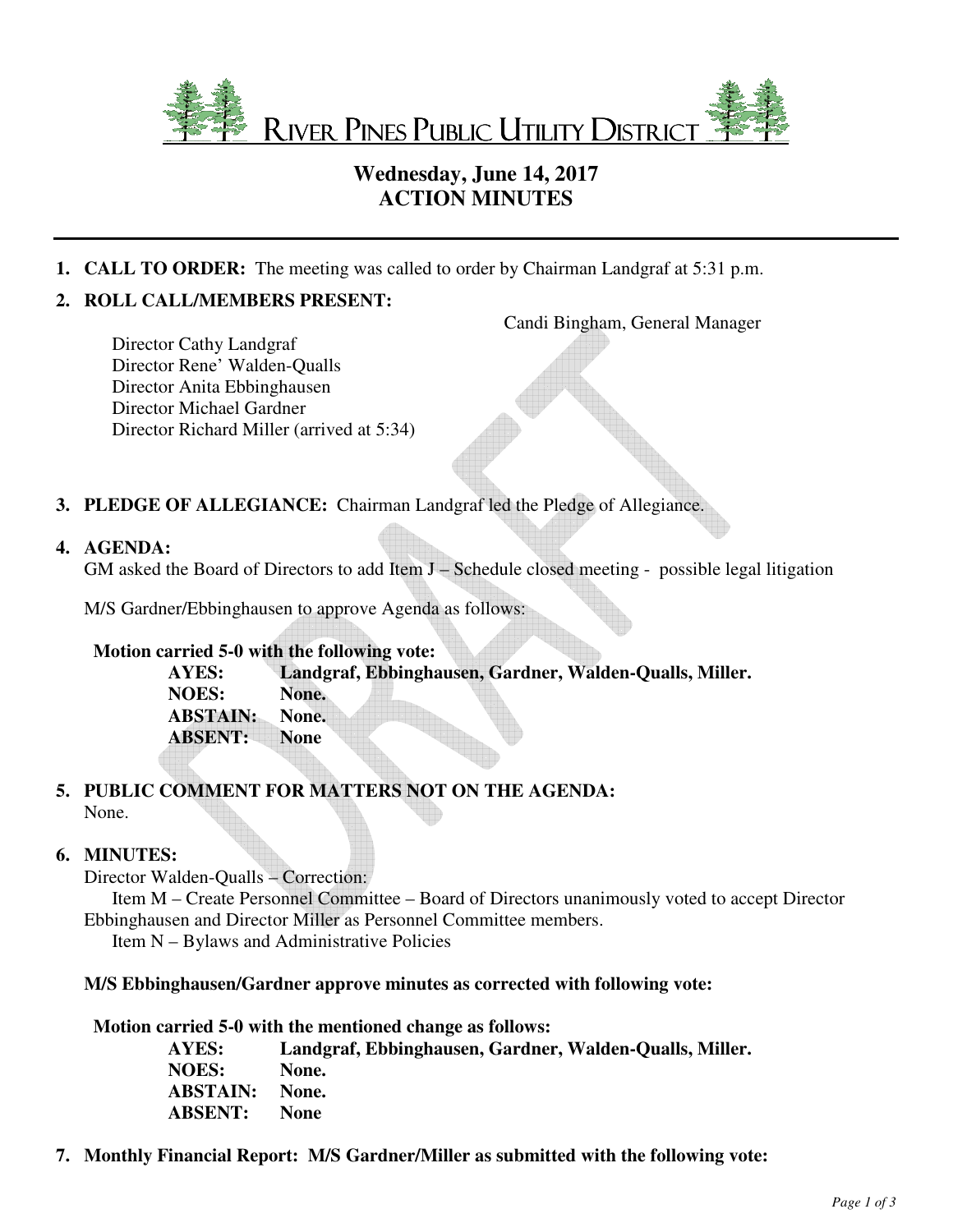

# **Wednesday, June 14, 2017 ACTION MINUTES**

**1. CALL TO ORDER:** The meeting was called to order by Chairman Landgraf at 5:31 p.m.

## **2. ROLL CALL/MEMBERS PRESENT:**

Candi Bingham, General Manager

Director Cathy Landgraf Director Rene' Walden-Qualls Director Anita Ebbinghausen Director Michael Gardner Director Richard Miller (arrived at 5:34)

**3. PLEDGE OF ALLEGIANCE:** Chairman Landgraf led the Pledge of Allegiance.

## **4. AGENDA:**

GM asked the Board of Directors to add Item J – Schedule closed meeting - possible legal litigation

M/S Gardner/Ebbinghausen to approve Agenda as follows:

## **Motion carried 5-0 with the following vote:**

**AYES: Landgraf, Ebbinghausen, Gardner, Walden-Qualls, Miller. NOES: None. ABSTAIN: None. ABSENT: None** 

## **5. PUBLIC COMMENT FOR MATTERS NOT ON THE AGENDA:** None.

## **6. MINUTES:**

Director Walden-Qualls – Correction:

 Item M – Create Personnel Committee – Board of Directors unanimously voted to accept Director Ebbinghausen and Director Miller as Personnel Committee members.

Item N – Bylaws and Administrative Policies

## **M/S Ebbinghausen/Gardner approve minutes as corrected with following vote:**

#### **Motion carried 5-0 with the mentioned change as follows:**

| AYES:           | Landgraf, Ebbinghausen, Gardner, Walden-Qualls, Miller. |
|-----------------|---------------------------------------------------------|
| <b>NOES:</b>    | None.                                                   |
| <b>ABSTAIN:</b> | None.                                                   |
| <b>ABSENT:</b>  | <b>None</b>                                             |

**7. Monthly Financial Report: M/S Gardner/Miller as submitted with the following vote:**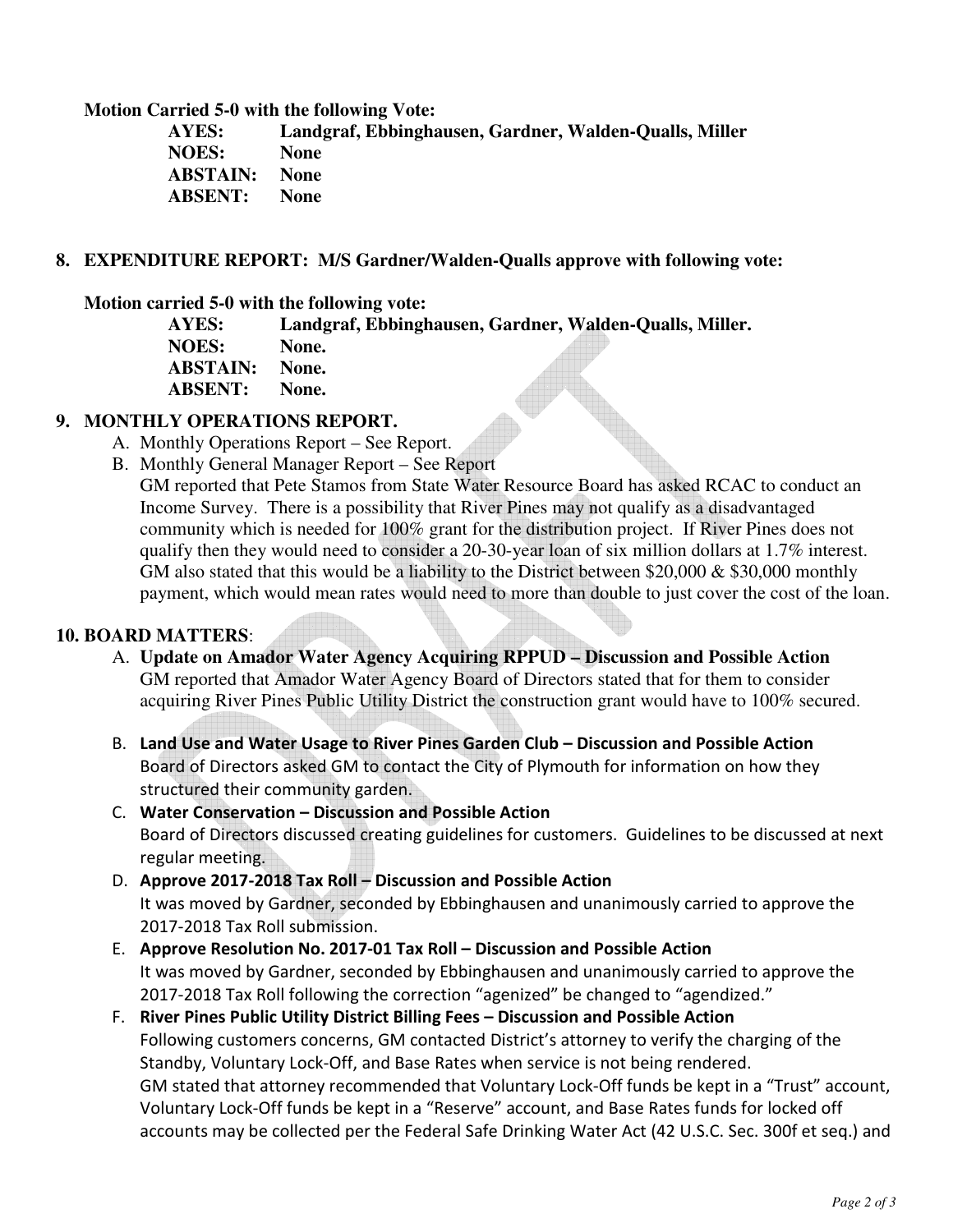**Motion Carried 5-0 with the following Vote:** 

| Landgraf, Ebbinghausen, Gardner, Walden-Qualls, Miller |
|--------------------------------------------------------|
| <b>None</b>                                            |
| <b>ABSTAIN:</b> None                                   |
| <b>None</b>                                            |
|                                                        |

#### **8. EXPENDITURE REPORT: M/S Gardner/Walden-Qualls approve with following vote:**

#### **Motion carried 5-0 with the following vote:**

**AYES: Landgraf, Ebbinghausen, Gardner, Walden-Qualls, Miller.** 

**NOES: None. ABSTAIN: None. ABSENT: None.** 

## **9. MONTHLY OPERATIONS REPORT.**

- A. Monthly Operations Report See Report.
- B. Monthly General Manager Report See Report

GM reported that Pete Stamos from State Water Resource Board has asked RCAC to conduct an Income Survey. There is a possibility that River Pines may not qualify as a disadvantaged community which is needed for 100% grant for the distribution project. If River Pines does not qualify then they would need to consider a 20-30-year loan of six million dollars at 1.7% interest. GM also stated that this would be a liability to the District between \$20,000  $\&$  \$30,000 monthly payment, which would mean rates would need to more than double to just cover the cost of the loan.

## **10. BOARD MATTERS**:

- A. **Update on Amador Water Agency Acquiring RPPUD Discussion and Possible Action**  GM reported that Amador Water Agency Board of Directors stated that for them to consider acquiring River Pines Public Utility District the construction grant would have to 100% secured.
- B. **Land Use and Water Usage to River Pines Garden Club Discussion and Possible Action**  Board of Directors asked GM to contact the City of Plymouth for information on how they structured their community garden.
- C. **Water Conservation Discussion and Possible Action** Board of Directors discussed creating guidelines for customers. Guidelines to be discussed at next regular meeting.
- D. **Approve 2017-2018 Tax Roll Discussion and Possible Action**  It was moved by Gardner, seconded by Ebbinghausen and unanimously carried to approve the 2017-2018 Tax Roll submission.
- E. **Approve Resolution No. 2017-01 Tax Roll Discussion and Possible Action**  It was moved by Gardner, seconded by Ebbinghausen and unanimously carried to approve the 2017-2018 Tax Roll following the correction "agenized" be changed to "agendized."
- F. **River Pines Public Utility District Billing Fees Discussion and Possible Action**  Following customers concerns, GM contacted District's attorney to verify the charging of the Standby, Voluntary Lock-Off, and Base Rates when service is not being rendered. GM stated that attorney recommended that Voluntary Lock-Off funds be kept in a "Trust" account, Voluntary Lock-Off funds be kept in a "Reserve" account, and Base Rates funds for locked off accounts may be collected per the Federal Safe Drinking Water Act (42 U.S.C. Sec. 300f et seq.) and